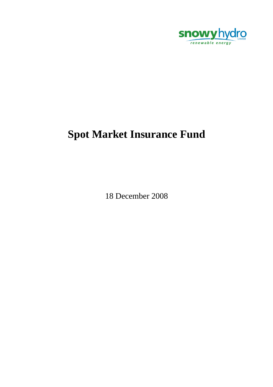

# **Spot Market Insurance Fund**

18 December 2008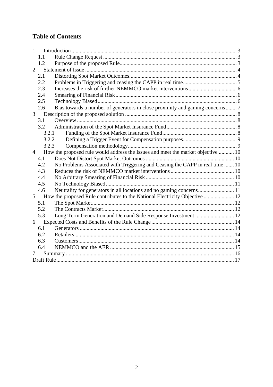# **Table of Contents**

| 1              |       |                                                                                  |  |  |  |
|----------------|-------|----------------------------------------------------------------------------------|--|--|--|
|                | 1.1   |                                                                                  |  |  |  |
|                | 1.2   |                                                                                  |  |  |  |
| $\overline{2}$ |       |                                                                                  |  |  |  |
|                | 2.1   |                                                                                  |  |  |  |
|                | 2.2   |                                                                                  |  |  |  |
|                | 2.3   |                                                                                  |  |  |  |
|                | 2.4   |                                                                                  |  |  |  |
|                | 2.5   |                                                                                  |  |  |  |
|                | 2.6   | Bias towards a number of generators in close proximity and gaming concerns?      |  |  |  |
| 3              |       |                                                                                  |  |  |  |
|                | 3.1   |                                                                                  |  |  |  |
|                | 3.2   |                                                                                  |  |  |  |
|                | 3.2.1 |                                                                                  |  |  |  |
|                | 3.2.2 |                                                                                  |  |  |  |
| 3.2.3          |       |                                                                                  |  |  |  |
| $\overline{4}$ |       | How the proposed rule would address the Issues and meet the market objective  10 |  |  |  |
|                | 4.1   |                                                                                  |  |  |  |
|                | 4.2   | No Problems Associated with Triggering and Ceasing the CAPP in real time  10     |  |  |  |
|                | 4.3   |                                                                                  |  |  |  |
|                | 4.4   |                                                                                  |  |  |  |
|                | 4.5   |                                                                                  |  |  |  |
|                | 4.6   |                                                                                  |  |  |  |
| 5 <sup>5</sup> |       | How the proposed Rule contributes to the National Electricity Objective  12      |  |  |  |
|                | 5.1   |                                                                                  |  |  |  |
|                | 5.2   |                                                                                  |  |  |  |
|                | 5.3   | Long Term Generation and Demand Side Response Investment  12                     |  |  |  |
| 6              |       |                                                                                  |  |  |  |
|                | 6.1   |                                                                                  |  |  |  |
|                | 6.2   |                                                                                  |  |  |  |
|                | 6.3   |                                                                                  |  |  |  |
|                | 6.4   |                                                                                  |  |  |  |
|                |       |                                                                                  |  |  |  |
|                |       |                                                                                  |  |  |  |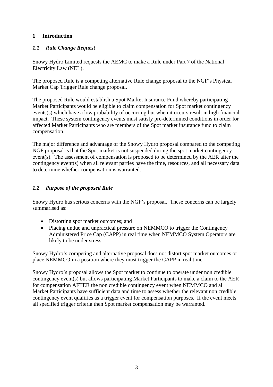#### **1 Introduction**

#### *1.1 Rule Change Request*

Snowy Hydro Limited requests the AEMC to make a Rule under Part 7 of the National Electricity Law (NEL).

The proposed Rule is a competing alternative Rule change proposal to the NGF's Physical Market Cap Trigger Rule change proposal.

The proposed Rule would establish a Spot Market Insurance Fund whereby participating Market Participants would be eligible to claim compensation for Spot market contingency events(s) which have a low probability of occurring but when it occurs result in high financial impact. These system contingency events must satisfy pre-determined conditions in order for affected Market Participants who are members of the Spot market insurance fund to claim compensation.

The major difference and advantage of the Snowy Hydro proposal compared to the competing NGF proposal is that the Spot market is not suspended during the spot market contingency event(s). The assessment of compensation is proposed to be determined by the AER after the contingency event(s) when all relevant parties have the time, resources, and all necessary data to determine whether compensation is warranted.

## *1.2 Purpose of the proposed Rule*

Snowy Hydro has serious concerns with the NGF's proposal. These concerns can be largely summarised as:

- Distorting spot market outcomes; and
- Placing undue and unpractical pressure on NEMMCO to trigger the Contingency Administered Price Cap (CAPP) in real time when NEMMCO System Operators are likely to be under stress.

Snowy Hydro's competing and alternative proposal does not distort spot market outcomes or place NEMMCO in a position where they must trigger the CAPP in real time.

Snowy Hydro's proposal allows the Spot market to continue to operate under non credible contingency event(s) but allows participating Market Participants to make a claim to the AER for compensation AFTER the non credible contingency event when NEMMCO and all Market Participants have sufficient data and time to assess whether the relevant non credible contingency event qualifies as a trigger event for compensation purposes. If the event meets all specified trigger criteria then Spot market compensation may be warranted.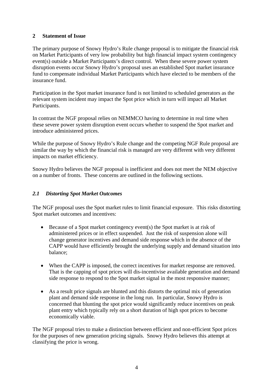#### **2 Statement of Issue**

The primary purpose of Snowy Hydro's Rule change proposal is to mitigate the financial risk on Market Participants of very low probability but high financial impact system contingency event(s) outside a Market Participants's direct control. When these severe power system disruption events occur Snowy Hydro's proposal uses an established Spot market insurance fund to compensate individual Market Participants which have elected to be members of the insurance fund.

Participation in the Spot market insurance fund is not limited to scheduled generators as the relevant system incident may impact the Spot price which in turn will impact all Market Participants.

In contrast the NGF proposal relies on NEMMCO having to determine in real time when these severe power system disruption event occurs whether to suspend the Spot market and introduce administered prices.

While the purpose of Snowy Hydro's Rule change and the competing NGF Rule proposal are similar the way by which the financial risk is managed are very different with very different impacts on market efficiency.

Snowy Hydro believes the NGF proposal is inefficient and does not meet the NEM objective on a number of fronts. These concerns are outlined in the following sections.

#### *2.1 Distorting Spot Market Outcomes*

The NGF proposal uses the Spot market rules to limit financial exposure. This risks distorting Spot market outcomes and incentives:

- Because of a Spot market contingency event(s) the Spot market is at risk of administered prices or in effect suspended. Just the risk of suspension alone will change generator incentives and demand side response which in the absence of the CAPP would have efficiently brought the underlying supply and demand situation into balance;
- When the CAPP is imposed, the correct incentives for market response are removed. That is the capping of spot prices will dis-incentivise available generation and demand side response to respond to the Spot market signal in the most responsive manner;
- As a result price signals are blunted and this distorts the optimal mix of generation plant and demand side response in the long run. In particular, Snowy Hydro is concerned that blunting the spot price would significantly reduce incentives on peak plant entry which typically rely on a short duration of high spot prices to become economically viable.

The NGF proposal tries to make a distinction between efficient and non-efficient Spot prices for the purposes of new generation pricing signals. Snowy Hydro believes this attempt at classifying the price is wrong.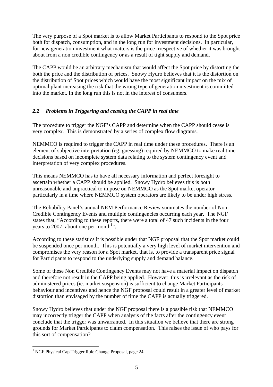The very purpose of a Spot market is to allow Market Participants to respond to the Spot price both for dispatch, consumption, and in the long run for investment decisions. In particular, for new generation investment what matters is the price irrespective of whether it was brought about from a non credible contingency or as a result of tight supply and demand.

The CAPP would be an arbitrary mechanism that would affect the Spot price by distorting the both the price and the distribution of prices. Snowy Hydro believes that it is the distortion on the distribution of Spot prices which would have the most significant impact on the mix of optimal plant increasing the risk that the wrong type of generation investment is committed into the market. In the long run this is not in the interest of consumers.

#### *2.2 Problems in Triggering and ceasing the CAPP in real time*

The procedure to trigger the NGF's CAPP and determine when the CAPP should cease is very complex. This is demonstrated by a series of complex flow diagrams.

NEMMCO is required to trigger the CAPP in real time under these procedures. There is an element of subjective interpretation (eg. guessing) required by NEMMCO to make real time decisions based on incomplete system data relating to the system contingency event and interpretation of very complex procedures.

This means NEMMCO has to have all necessary information and perfect foresight to ascertain whether a CAPP should be applied. Snowy Hydro believes this is both unreasonable and unpractical to impose on NEMMCO as the Spot market operator particularly in a time where NEMMCO system operators are likely to be under high stress.

The Reliability Panel's annual NEM Performance Review summates the number of Non Credible Contingency Events and multiple contingencies occurring each year. The NGF states that, "According to these reports, there were a total of 47 such incidents in the four years to 2007: about one per month<sup>1</sup>.

According to these statistics it is possible under that NGF proposal that the Spot market could be suspended once per month. This is potentially a very high level of market intervention and compromises the very reason for a Spot market, that is, to provide a transparent price signal for Participants to respond to the underlying supply and demand balance.

Some of these Non Credible Contingency Events may not have a material impact on dispatch and therefore not result in the CAPP being applied. However, this is irrelevant as the risk of administered prices (ie. market suspension) is sufficient to change Market Participants behaviour and incentives and hence the NGF proposal could result in a greater level of market distortion than envisaged by the number of time the CAPP is actually triggered.

Snowy Hydro believes that under the NGF proposal there is a possible risk that NEMMCO may incorrectly trigger the CAPP when analysis of the facts after the contingency event conclude that the trigger was unwarranted. In this situation we believe that there are strong grounds for Market Participants to claim compensation. This raises the issue of who pays for this sort of compensation?

 $\overline{a}$ <sup>1</sup> NGF Physical Cap Trigger Rule Change Proposal, page 24.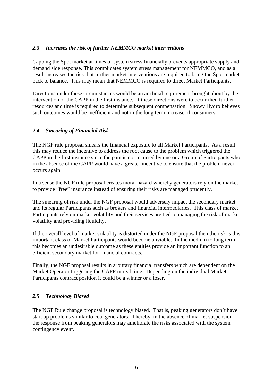#### *2.3 Increases the risk of further NEMMCO market interventions*

Capping the Spot market at times of system stress financially prevents appropriate supply and demand side response. This complicates system stress management for NEMMCO, and as a result increases the risk that further market interventions are required to bring the Spot market back to balance. This may mean that NEMMCO is required to direct Market Participants.

Directions under these circumstances would be an artificial requirement brought about by the intervention of the CAPP in the first instance. If these directions were to occur then further resources and time is required to determine subsequent compensation. Snowy Hydro believes such outcomes would be inefficient and not in the long term increase of consumers.

#### *2.4 Smearing of Financial Risk*

The NGF rule proposal smears the financial exposure to all Market Participants. As a result this may reduce the incentive to address the root cause to the problem which triggered the CAPP in the first instance since the pain is not incurred by one or a Group of Participants who in the absence of the CAPP would have a greater incentive to ensure that the problem never occurs again.

In a sense the NGF rule proposal creates moral hazard whereby generators rely on the market to provide "free" insurance instead of ensuring their risks are managed prudently.

The smearing of risk under the NGF proposal would adversely impact the secondary market and its regular Participants such as brokers and financial intermediaries. This class of market Participants rely on market volatility and their services are tied to managing the risk of market volatility and providing liquidity.

If the overall level of market volatility is distorted under the NGF proposal then the risk is this important class of Market Participants would become unviable. In the medium to long term this becomes an undesirable outcome as these entities provide an important function to an efficient secondary market for financial contracts.

Finally, the NGF proposal results in arbitrary financial transfers which are dependent on the Market Operator triggering the CAPP in real time. Depending on the individual Market Participants contract position it could be a winner or a loser.

#### *2.5 Technology Biased*

The NGF Rule change proposal is technology biased. That is, peaking generators don't have start up problems similar to coal generators. Thereby, in the absence of market suspension the response from peaking generators may ameliorate the risks associated with the system contingency event.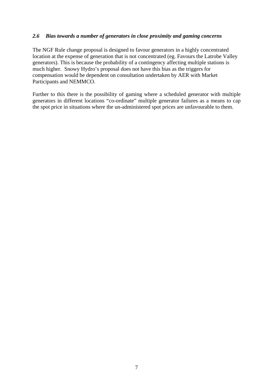#### *2.6 Bias towards a number of generators in close proximity and gaming concerns*

The NGF Rule change proposal is designed to favour generators in a highly concentrated location at the expense of generation that is not concentrated (eg. Favours the Latrobe Valley generators). This is because the probability of a contingency affecting multiple stations is much higher. Snowy Hydro's proposal does not have this bias as the triggers for compensation would be dependent on consultation undertaken by AER with Market Participants and NEMMCO.

Further to this there is the possibility of gaming where a scheduled generator with multiple generators in different locations "co-ordinate" multiple generator failures as a means to cap the spot price in situations where the un-administered spot prices are unfavourable to them.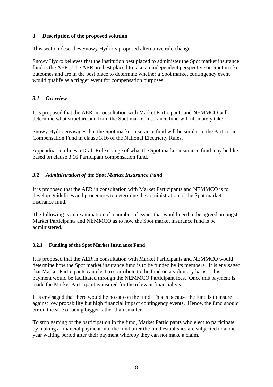#### **3 Description of the proposed solution**

This section describes Snowy Hydro's proposed alternative rule change.

Snowy Hydro believes that the institution best placed to administer the Spot market insurance fund is the AER. The AER are best placed to take an independent perspective on Spot market outcomes and are in the best place to determine whether a Spot market contingency event would qualify as a trigger event for compensation purposes.

## *3.1 Overview*

It is proposed that the AER in consultation with Market Participants and NEMMCO will determine what structure and form the Spot market insurance fund will ultimately take.

Snowy Hydro envisages that the Spot market insurance fund will be similar to the Participant Compensation Fund in clause 3.16 of the National Electricity Rules.

Appendix 1 outlines a Draft Rule change of what the Spot market insurance fund may be like based on clause 3.16 Participant compensation fund.

## *3.2 Administration of the Spot Market Insurance Fund*

It is proposed that the AER in consultation with Market Participants and NEMMCO is to develop guidelines and procedures to determine the administration of the Spot market insurance fund.

The following is an examination of a number of issues that would need to be agreed amongst Market Participants and NEMMCO as to how the Spot market insurance fund is be administered.

#### **3.2.1 Funding of the Spot Market Insurance Fund**

It is proposed that the AER in consultation with Market Participants and NEMMCO would determine how the Spot market insurance fund is to be funded by its members. It is envisaged that Market Participants can elect to contribute to the fund on a voluntary basis. This payment would be facilitated through the NEMMCO Participant fees. Once this payment is made the Market Participant is insured for the relevant financial year.

It is envisaged that there would be no cap on the fund. This is because the fund is to insure against low probability but high financial impact contingency events. Hence, the fund should err on the side of being bigger rather than smaller.

To stop gaming of the participation in the fund, Market Participants who elect to participate by making a financial payment into the fund after the fund establishes are subjected to a one year waiting period after their payment whereby they can not make a claim.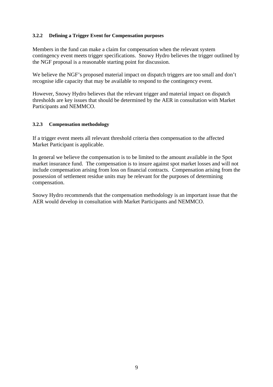#### **3.2.2 Defining a Trigger Event for Compensation purposes**

Members in the fund can make a claim for compensation when the relevant system contingency event meets trigger specifications. Snowy Hydro believes the trigger outlined by the NGF proposal is a reasonable starting point for discussion.

We believe the NGF's proposed material impact on dispatch triggers are too small and don't recognise idle capacity that may be available to respond to the contingency event.

However, Snowy Hydro believes that the relevant trigger and material impact on dispatch thresholds are key issues that should be determined by the AER in consultation with Market Participants and NEMMCO.

#### **3.2.3 Compensation methodology**

If a trigger event meets all relevant threshold criteria then compensation to the affected Market Participant is applicable.

In general we believe the compensation is to be limited to the amount available in the Spot market insurance fund. The compensation is to insure against spot market losses and will not include compensation arising from loss on financial contracts. Compensation arising from the possession of settlement residue units may be relevant for the purposes of determining compensation.

Snowy Hydro recommends that the compensation methodology is an important issue that the AER would develop in consultation with Market Participants and NEMMCO.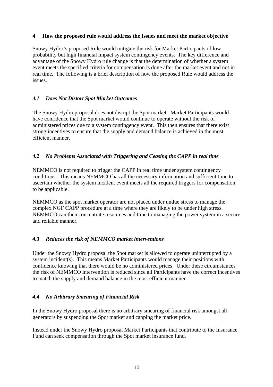#### **4 How the proposed rule would address the Issues and meet the market objective**

Snowy Hydro's proposed Rule would mitigate the risk for Market Participants of low probability but high financial impact system contingency events. The key difference and advantage of the Snowy Hydro rule change is that the determination of whether a system event meets the specified criteria for compensation is done after the market event and not in real time. The following is a brief description of how the proposed Rule would address the issues.

#### *4.1 Does Not Distort Spot Market Outcomes*

The Snowy Hydro proposal does not disrupt the Spot market. Market Participants would have confidence that the Spot market would continue to operate without the risk of administered prices due to a system contingency event. This then ensures that there exist strong incentives to ensure that the supply and demand balance is achieved in the most efficient manner.

#### *4.2 No Problems Associated with Triggering and Ceasing the CAPP in real time*

NEMMCO is not required to trigger the CAPP in real time under system contingency conditions. This means NEMMCO has all the necessary information and sufficient time to ascertain whether the system incident event meets all the required triggers for compensation to be applicable.

NEMMCO as the spot market operator are not placed under undue stress to manage the complex NGF CAPP procedure at a time where they are likely to be under high stress. NEMMCO can then concentrate resources and time to managing the power system in a secure and reliable manner.

## *4.3 Reduces the risk of NEMMCO market interventions*

Under the Snowy Hydro proposal the Spot market is allowed to operate uninterrupted by a system incident(s). This means Market Participants would manage their positions with confidence knowing that there would be no administered prices. Under these circumstances the risk of NEMMCO intervention is reduced since all Participants have the correct incentives to match the supply and demand balance in the most efficient manner.

#### *4.4 No Arbitrary Smearing of Financial Risk*

In the Snowy Hydro proposal there is no arbitrary smearing of financial risk amongst all generators by suspending the Spot market and capping the market price.

Instead under the Snowy Hydro proposal Market Participants that contribute to the Insurance Fund can seek compensation through the Spot market insurance fund.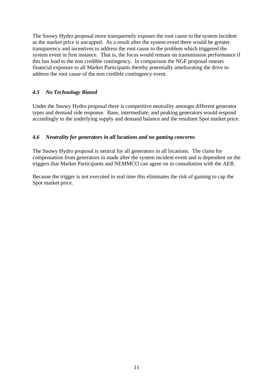The Snowy Hydro proposal more transparently exposes the root cause to the system incident as the market price is uncapped. As a result after the system event there would be greater transparency and incentives to address the root cause to the problem which triggered the system event in first instance. That is, the focus would remain on transmission performance if this has lead to the non credible contingency. In comparison the NGF proposal smears financial exposure to all Market Participants thereby potentially ameliorating the drive to address the root cause of the non credible contingency event.

# *4.5 No Technology Biased*

Under the Snowy Hydro proposal there is competitive neutrality amongst different generator types and demand side response. Base, intermediate, and peaking generators would respond accordingly to the underlying supply and demand balance and the resultant Spot market price.

#### *4.6 Neutrality for generators in all locations and no gaming concerns*

The Snowy Hydro proposal is neutral for all generators in all locations. The claim for compensation from generators in made after the system incident event and is dependent on the triggers that Market Participants and NEMMCO can agree on in consultation with the AER.

Because the trigger is not executed in real time this eliminates the risk of gaming to cap the Spot market price.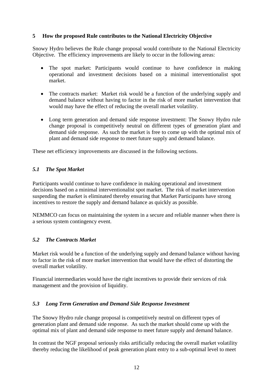#### **5 How the proposed Rule contributes to the National Electricity Objective**

Snowy Hydro believes the Rule change proposal would contribute to the National Electricity Objective. The efficiency improvements are likely to occur in the following areas:

- The spot market: Participants would continue to have confidence in making operational and investment decisions based on a minimal interventionalist spot market.
- The contracts market: Market risk would be a function of the underlying supply and demand balance without having to factor in the risk of more market intervention that would may have the effect of reducing the overall market volatility.
- Long term generation and demand side response investment: The Snowy Hydro rule change proposal is competitively neutral on different types of generation plant and demand side response. As such the market is free to come up with the optimal mix of plant and demand side response to meet future supply and demand balance.

These net efficiency improvements are discussed in the following sections.

#### *5.1 The Spot Market*

Participants would continue to have confidence in making operational and investment decisions based on a minimal interventionalist spot market. The risk of market intervention suspending the market is eliminated thereby ensuring that Market Participants have strong incentives to restore the supply and demand balance as quickly as possible.

NEMMCO can focus on maintaining the system in a secure and reliable manner when there is a serious system contingency event.

#### *5.2 The Contracts Market*

Market risk would be a function of the underlying supply and demand balance without having to factor in the risk of more market intervention that would have the effect of distorting the overall market volatility.

Financial intermediaries would have the right incentives to provide their services of risk management and the provision of liquidity.

#### *5.3 Long Term Generation and Demand Side Response Investment*

The Snowy Hydro rule change proposal is competitively neutral on different types of generation plant and demand side response. As such the market should come up with the optimal mix of plant and demand side response to meet future supply and demand balance.

In contrast the NGF proposal seriously risks artificially reducing the overall market volatility thereby reducing the likelihood of peak generation plant entry to a sub-optimal level to meet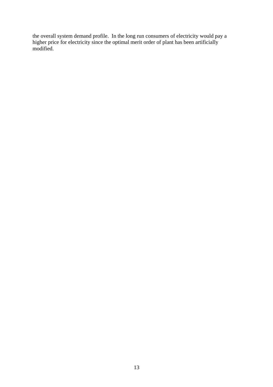the overall system demand profile. In the long run consumers of electricity would pay a higher price for electricity since the optimal merit order of plant has been artificially modified.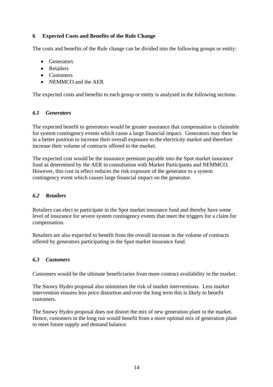#### **6 Expected Costs and Benefits of the Rule Change**

The costs and benefits of the Rule change can be divided into the following groups or entity:

- Generators
- Retailers
- Customers
- NEMMCO and the AER

The expected costs and benefits to each group or entity is analysed in the following sections.

#### *6.1 Generators*

The expected benefit to generators would be greater assurance that compensation is claimable for system contingency events which cause a large financial impact. Generators may then be in a better position to increase their overall exposure to the electricity market and therefore increase their volume of contracts offered to the market.

The expected cost would be the insurance premium payable into the Spot market insurance fund as determined by the AER in consultation with Market Participants and NEMMCO. However, this cost in effect reduces the risk exposure of the generator to a system contingency event which causes large financial impact on the generator.

#### *6.2 Retailers*

Retailers can elect to participate in the Spot market insurance fund and thereby have some level of insurance for severe system contingency events that meet the triggers for a claim for compensation.

Retailers are also expected to benefit from the overall increase in the volume of contracts offered by generators participating in the Spot market insurance fund.

#### *6.3 Customers*

Customers would be the ultimate beneficiaries from more contract availability in the market.

The Snowy Hydro proposal also minimises the risk of market interventions. Less market intervention ensures less price distortion and over the long term this is likely to benefit customers.

The Snowy Hydro proposal does not distort the mix of new generation plant in the market. Hence, customers in the long run would benefit from a more optimal mix of generation plant to meet future supply and demand balance.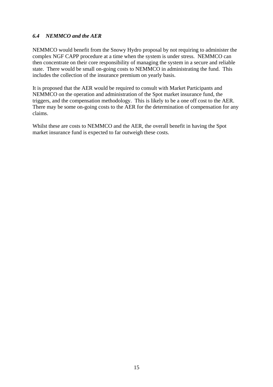#### *6.4 NEMMCO and the AER*

NEMMCO would benefit from the Snowy Hydro proposal by not requiring to administer the complex NGF CAPP procedure at a time when the system is under stress. NEMMCO can then concentrate on their core responsibility of managing the system in a secure and reliable state. There would be small on-going costs to NEMMCO in administrating the fund. This includes the collection of the insurance premium on yearly basis.

It is proposed that the AER would be required to consult with Market Participants and NEMMCO on the operation and administration of the Spot market insurance fund, the triggers, and the compensation methodology. This is likely to be a one off cost to the AER. There may be some on-going costs to the AER for the determination of compensation for any claims.

Whilst these are costs to NEMMCO and the AER, the overall benefit in having the Spot market insurance fund is expected to far outweigh these costs.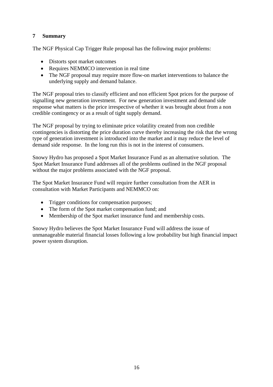#### **7 Summary**

The NGF Physical Cap Trigger Rule proposal has the following major problems:

- Distorts spot market outcomes
- Requires NEMMCO intervention in real time
- The NGF proposal may require more flow-on market interventions to balance the underlying supply and demand balance.

The NGF proposal tries to classify efficient and non efficient Spot prices for the purpose of signalling new generation investment. For new generation investment and demand side response what matters is the price irrespective of whether it was brought about from a non credible contingency or as a result of tight supply demand.

The NGF proposal by trying to eliminate price volatility created from non credible contingencies is distorting the price duration curve thereby increasing the risk that the wrong type of generation investment is introduced into the market and it may reduce the level of demand side response. In the long run this is not in the interest of consumers.

Snowy Hydro has proposed a Spot Market Insurance Fund as an alternative solution. The Spot Market Insurance Fund addresses all of the problems outlined in the NGF proposal without the major problems associated with the NGF proposal.

The Spot Market Insurance Fund will require further consultation from the AER in consultation with Market Participants and NEMMCO on:

- Trigger conditions for compensation purposes;
- The form of the Spot market compensation fund; and
- Membership of the Spot market insurance fund and membership costs.

Snowy Hydro believes the Spot Market Insurance Fund will address the issue of unmanageable material financial losses following a low probability but high financial impact power system disruption.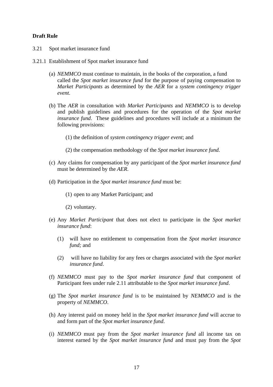#### **Draft Rule**

- 3.21 Spot market insurance fund
- 3.21.1 Establishment of Spot market insurance fund
	- (a) *NEMMCO* must continue to maintain, in the books of the corporation, a fund called the *Spot market insurance fund* for the purpose of paying compensation to *Market Participants* as determined by the *AER* for a *system contingency trigger event*.
	- (b) The *AER* in consultation with *Market Participants* and *NEMMCO* is to develop and publish guidelines and procedures for the operation of the *Spot market insurance fund*. These guidelines and procedures will include at a minimum the following provisions:
		- (1) the definition of *system contingency trigger event*; and
		- (2) the compensation methodology of the *Spot market insurance fund*.
	- (c) Any claims for compensation by any participant of the *Spot market insurance fund* must be determined by the *AER*.
	- (d) Participation in the *Spot market insurance fund* must be:
		- (1) open to any Market Participant; and
		- (2) voluntary.
	- (e) Any *Market Participant* that does not elect to participate in the *Spot market insurance fund*:
		- (1) will have no entitlement to compensation from the *Spot market insurance fund;* and
		- (2) will have no liability for any fees or charges associated with the *Spot market insurance fund*.
	- (f) *NEMMCO* must pay to the *Spot market insurance fund* that component of Participant fees under rule 2.11 attributable to the *Spot market insurance fund*.
	- (g) The *Spot market insurance fund* is to be maintained by *NEMMCO* and is the property of *NEMMCO*.
	- (h) Any interest paid on money held in the *Spot market insurance fund* will accrue to and form part of the *Spot market insurance fund*.
	- (i) *NEMMCO* must pay from the *Spot market insurance fund* all income tax on interest earned by the *Spot market insurance fund* and must pay from the *Spot*